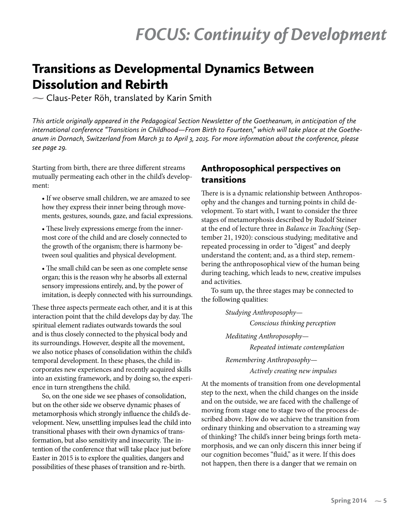# Transitions as Developmental Dynamics Between Dissolution and Rebirth

**-** Claus-Peter Röh, translated by Karin Smith

*This article originally appeared in the Pedagogical Section Newsletter of the Goetheanum, in anticipation of the international conference "Transitions in Childhood—From Birth to Fourteen," which will take place at the Goetheanum in Dornach, Switzerland from March 31 to April 3, 2015. For more information about the conference, please see page 29.*

Starting from birth, there are three different streams mutually permeating each other in the child's development:

• If we observe small children, we are amazed to see how they express their inner being through movements, gestures, sounds, gaze, and facial expressions.

• These lively expressions emerge from the innermost core of the child and are closely connected to the growth of the organism; there is harmony between soul qualities and physical development.

• The small child can be seen as one complete sense organ; this is the reason why he absorbs all external sensory impressions entirely, and, by the power of imitation, is deeply connected with his surroundings.

These three aspects permeate each other, and it is at this interaction point that the child develops day by day. The spiritual element radiates outwards towards the soul and is thus closely connected to the physical body and its surroundings. However, despite all the movement, we also notice phases of consolidation within the child's temporal development. In these phases, the child incorporates new experiences and recently acquired skills into an existing framework, and by doing so, the experience in turn strengthens the child.

So, on the one side we see phases of consolidation, but on the other side we observe dynamic phases of metamorphosis which strongly influence the child's development. New, unsettling impulses lead the child into transitional phases with their own dynamics of transformation, but also sensitivity and insecurity. The intention of the conference that will take place just before Easter in 2015 is to explore the qualities, dangers and possibilities of these phases of transition and re-birth.

## Anthroposophical perspectives on transitions

There is is a dynamic relationship between Anthroposophy and the changes and turning points in child development. To start with, I want to consider the three stages of metamorphosis described by Rudolf Steiner at the end of lecture three in *Balance in Teaching* (September 21, 1920): conscious studying; meditative and repeated processing in order to "digest" and deeply understand the content; and, as a third step, remembering the anthroposophical view of the human being during teaching, which leads to new, creative impulses and activities.

To sum up, the three stages may be connected to the following qualities:

> *Studying Anthroposophy— Conscious thinking perception Meditating Anthroposophy— Repeated intimate contemplation Remembering Anthroposophy— Actively creating new impulses*

At the moments of transition from one developmental step to the next, when the child changes on the inside and on the outside, we are faced with the challenge of moving from stage one to stage two of the process described above. How do we achieve the transition from ordinary thinking and observation to a streaming way of thinking? The child's inner being brings forth metamorphosis, and we can only discern this inner being if our cognition becomes "fluid," as it were. If this does not happen, then there is a danger that we remain on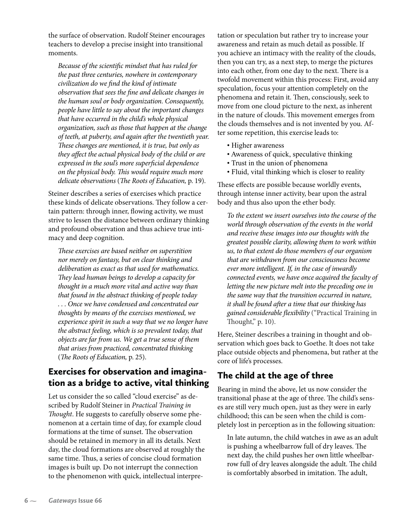the surface of observation. Rudolf Steiner encourages teachers to develop a precise insight into transitional moments.

*Because of the scientific mindset that has ruled for the past three centuries, nowhere in contemporary civilization do we find the kind of intimate observation that sees the fine and delicate changes in the human soul or body organization. Consequently, people have little to say about the important changes that have occurred in the child's whole physical organization, such as those that happen at the change of teeth, at puberty, and again after the twentieth year. These changes are mentioned, it is true, but only as they affect the actual physical body of the child or are expressed in the soul's more superficial dependence on the physical body. This would require much more delicate observations* (*The Roots of Education,* p. 19).

Steiner describes a series of exercises which practice these kinds of delicate observations. They follow a certain pattern: through inner, flowing activity, we must strive to lessen the distance between ordinary thinking and profound observation and thus achieve true intimacy and deep cognition.

*These exercises are based neither on superstition nor merely on fantasy, but on clear thinking and deliberation as exact as that used for mathematics. They lead human beings to develop a capacity for thought in a much more vital and active way than that found in the abstract thinking of people today . . . Once we have condensed and concentrated our thoughts by means of the exercises mentioned, we experience spirit in such a way that we no longer have the abstract feeling, which is so prevalent today, that objects are far from us. We get a true sense of them that arises from practiced, concentrated thinking*  (*The Roots of Education,* p. 25).

# Exercises for observation and imagination as a bridge to active, vital thinking

Let us consider the so called "cloud exercise" as described by Rudolf Steiner in *Practical Training in Thought*. He suggests to carefully observe some phenomenon at a certain time of day, for example cloud formations at the time of sunset. The observation should be retained in memory in all its details. Next day, the cloud formations are observed at roughly the same time. Thus, a series of concise cloud formation images is built up. Do not interrupt the connection to the phenomenon with quick, intellectual interpretation or speculation but rather try to increase your awareness and retain as much detail as possible. If you achieve an intimacy with the reality of the clouds, then you can try, as a next step, to merge the pictures into each other, from one day to the next. There is a twofold movement within this process: First, avoid any speculation, focus your attention completely on the phenomena and retain it. Then, consciously, seek to move from one cloud picture to the next, as inherent in the nature of clouds. This movement emerges from the clouds themselves and is not invented by you. After some repetition, this exercise leads to:

- Higher awareness
- Awareness of quick, speculative thinking
- Trust in the union of phenomena
- Fluid, vital thinking which is closer to reality

These effects are possible because worldly events, through intense inner activity, bear upon the astral body and thus also upon the ether body.

*To the extent we insert ourselves into the course of the world through observation of the events in the world and receive these images into our thoughts with the greatest possible clarity, allowing them to work within us, to that extent do those members of our organism that are withdrawn from our consciousness become ever more intelligent. If, in the case of inwardly connected events, we have once acquired the faculty of letting the new picture melt into the preceding one in the same way that the transition occurred in nature, it shall be found after a time that our thinking has gained considerable flexibility* ("Practical Training in Thought," p. 10).

Here, Steiner describes a training in thought and observation which goes back to Goethe. It does not take place outside objects and phenomena, but rather at the core of life's processes.

# The child at the age of three

Bearing in mind the above, let us now consider the transitional phase at the age of three. The child's senses are still very much open, just as they were in early childhood; this can be seen when the child is completely lost in perception as in the following situation:

In late autumn, the child watches in awe as an adult is pushing a wheelbarrow full of dry leaves. The next day, the child pushes her own little wheelbarrow full of dry leaves alongside the adult. The child is comfortably absorbed in imitation. The adult,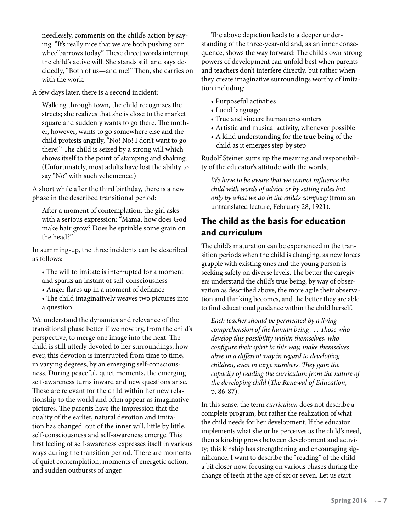needlessly, comments on the child's action by saying: "It's really nice that we are both pushing our wheelbarrows today." These direct words interrupt the child's active will. She stands still and says decidedly, "Both of us—and me!" Then, she carries on with the work.

A few days later, there is a second incident:

Walking through town, the child recognizes the streets; she realizes that she is close to the market square and suddenly wants to go there. The mother, however, wants to go somewhere else and the child protests angrily, "No! No! I don't want to go there!" The child is seized by a strong will which shows itself to the point of stamping and shaking. (Unfortunately, most adults have lost the ability to say "No" with such vehemence.)

A short while after the third birthday, there is a new phase in the described transitional period:

After a moment of contemplation, the girl asks with a serious expression: "Mama, how does God make hair grow? Does he sprinkle some grain on the head?"

In summing-up, the three incidents can be described as follows:

- The will to imitate is interrupted for a moment and sparks an instant of self-consciousness
- Anger flares up in a moment of defiance
- The child imaginatively weaves two pictures into a question

We understand the dynamics and relevance of the transitional phase better if we now try, from the child's perspective, to merge one image into the next. The child is still utterly devoted to her surroundings; however, this devotion is interrupted from time to time, in varying degrees, by an emerging self-consciousness. During peaceful, quiet moments, the emerging self-awareness turns inward and new questions arise. These are relevant for the child within her new relationship to the world and often appear as imaginative pictures. The parents have the impression that the quality of the earlier, natural devotion and imitation has changed: out of the inner will, little by little, self-consciousness and self-awareness emerge. This first feeling of self-awareness expresses itself in various ways during the transition period. There are moments of quiet contemplation, moments of energetic action, and sudden outbursts of anger.

The above depiction leads to a deeper understanding of the three-year-old and, as an inner consequence, shows the way forward: The child's own strong powers of development can unfold best when parents and teachers don't interfere directly, but rather when they create imaginative surroundings worthy of imitation including:

- Purposeful activities
- Lucid language
- True and sincere human encounters
- Artistic and musical activity, whenever possible
- A kind understanding for the true being of the child as it emerges step by step

Rudolf Steiner sums up the meaning and responsibility of the educator's attitude with the words,

*We have to be aware that we cannot influence the child with words of advice or by setting rules but only by what we do in the child's company* (from an untranslated lecture, February 28, 1921)*.*

### The child as the basis for education and curriculum

The child's maturation can be experienced in the transition periods when the child is changing, as new forces grapple with existing ones and the young person is seeking safety on diverse levels. The better the caregivers understand the child's true being, by way of observation as described above, the more agile their observation and thinking becomes, and the better they are able to find educational guidance within the child herself.

*Each teacher should be permeated by a living comprehension of the human being . . . Those who develop this possibility within themselves, who configure their spirit in this way, make themselves alive in a different way in regard to developing children, even in large numbers. They gain the capacity of reading the curriculum from the nature of the developing child* (*The Renewal of Education,*  p. 86-87).

In this sense, the term *curriculum* does not describe a complete program, but rather the realization of what the child needs for her development. If the educator implements what she or he perceives as the child's need, then a kinship grows between development and activity; this kinship has strengthening and encouraging significance. I want to describe the "reading" of the child a bit closer now, focusing on various phases during the change of teeth at the age of six or seven. Let us start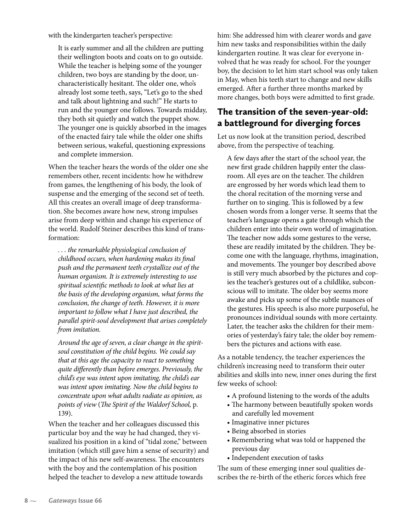with the kindergarten teacher's perspective:

It is early summer and all the children are putting their wellington boots and coats on to go outside. While the teacher is helping some of the younger children, two boys are standing by the door, uncharacteristically hesitant. The older one, who's already lost some teeth, says, "Let's go to the shed and talk about lightning and such!" He starts to run and the younger one follows. Towards midday, they both sit quietly and watch the puppet show. The younger one is quickly absorbed in the images of the enacted fairy tale while the older one shifts between serious, wakeful, questioning expressions and complete immersion.

When the teacher hears the words of the older one she remembers other, recent incidents: how he withdrew from games, the lengthening of his body, the look of suspense and the emerging of the second set of teeth. All this creates an overall image of deep transformation. She becomes aware how new, strong impulses arise from deep within and change his experience of the world. Rudolf Steiner describes this kind of transformation:

*. . . the remarkable physiological conclusion of childhood occurs, when hardening makes its final push and the permanent teeth crystallize out of the human organism. It is extremely interesting to use spiritual scientific methods to look at what lies at the basis of the developing organism, what forms the conclusion, the change of teeth. However, it is more important to follow what I have just described, the parallel spirit-soul development that arises completely from imitation.* 

*Around the age of seven, a clear change in the spiritsoul constitution of the child begins. We could say that at this age the capacity to react to something quite differently than before emerges. Previously, the child's eye was intent upon imitating, the child's ear was intent upon imitating. Now the child begins to concentrate upon what adults radiate as opinion, as points of view* (*The Spirit of the Waldorf School,* p. 139).

When the teacher and her colleagues discussed this particular boy and the way he had changed, they visualized his position in a kind of "tidal zone," between imitation (which still gave him a sense of security) and the impact of his new self-awareness. The encounters with the boy and the contemplation of his position helped the teacher to develop a new attitude towards

him: She addressed him with clearer words and gave him new tasks and responsibilities within the daily kindergarten routine. It was clear for everyone involved that he was ready for school. For the younger boy, the decision to let him start school was only taken in May, when his teeth start to change and new skills emerged. After a further three months marked by more changes, both boys were admitted to first grade.

#### The transition of the seven-year-old: a battleground for diverging forces

Let us now look at the transition period, described above, from the perspective of teaching.

A few days after the start of the school year, the new first grade children happily enter the classroom. All eyes are on the teacher. The children are engrossed by her words which lead them to the choral recitation of the morning verse and further on to singing. This is followed by a few chosen words from a longer verse. It seems that the teacher's language opens a gate through which the children enter into their own world of imagination. The teacher now adds some gestures to the verse, these are readily imitated by the children. They become one with the language, rhythms, imagination, and movements. The younger boy described above is still very much absorbed by the pictures and copies the teacher's gestures out of a childlike, subconscious will to imitate. The older boy seems more awake and picks up some of the subtle nuances of the gestures. His speech is also more purposeful, he pronounces individual sounds with more certainty. Later, the teacher asks the children for their memories of yesterday's fairy tale; the older boy remembers the pictures and actions with ease.

As a notable tendency, the teacher experiences the children's increasing need to transform their outer abilities and skills into new, inner ones during the first few weeks of school:

- A profound listening to the words of the adults
- The harmony between beautifully spoken words and carefully led movement
- Imaginative inner pictures
- Being absorbed in stories
- Remembering what was told or happened the previous day
- Independent execution of tasks

The sum of these emerging inner soul qualities describes the re-birth of the etheric forces which free